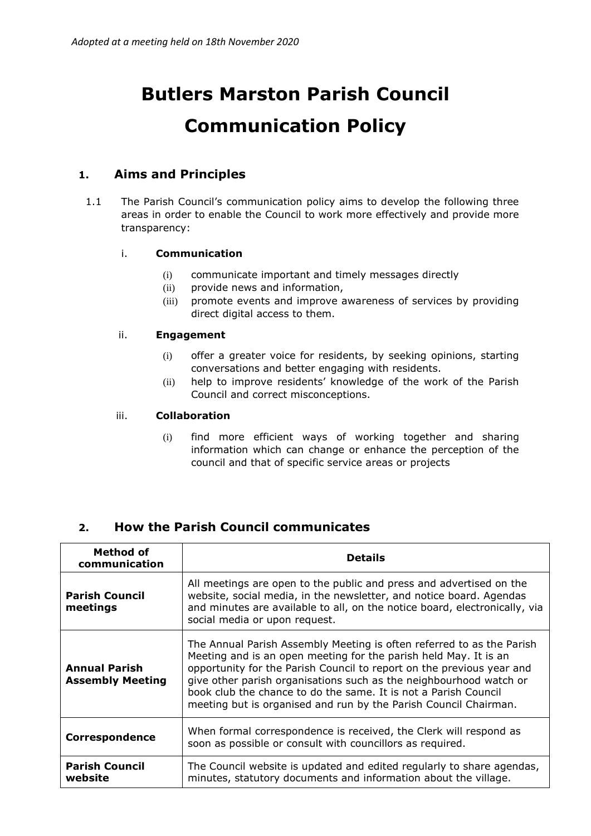# **Butlers Marston Parish Council Communication Policy**

### **1. Aims and Principles**

1.1 The Parish Council's communication policy aims to develop the following three areas in order to enable the Council to work more effectively and provide more transparency:

#### i. **Communication**

- (i) communicate important and timely messages directly
- (ii) provide news and information,
- (iii) promote events and improve awareness of services by providing direct digital access to them.

#### ii. **Engagement**

- (i) offer a greater voice for residents, by seeking opinions, starting conversations and better engaging with residents.
- (ii) help to improve residents' knowledge of the work of the Parish Council and correct misconceptions.

#### iii. **Collaboration**

(i) find more efficient ways of working together and sharing information which can change or enhance the perception of the council and that of specific service areas or projects

## **2. How the Parish Council communicates**

| Method of<br>communication                      | <b>Details</b>                                                                                                                                                                                                                                                                                                                                                                                                                  |
|-------------------------------------------------|---------------------------------------------------------------------------------------------------------------------------------------------------------------------------------------------------------------------------------------------------------------------------------------------------------------------------------------------------------------------------------------------------------------------------------|
| <b>Parish Council</b><br>meetings               | All meetings are open to the public and press and advertised on the<br>website, social media, in the newsletter, and notice board. Agendas<br>and minutes are available to all, on the notice board, electronically, via<br>social media or upon request.                                                                                                                                                                       |
| <b>Annual Parish</b><br><b>Assembly Meeting</b> | The Annual Parish Assembly Meeting is often referred to as the Parish<br>Meeting and is an open meeting for the parish held May. It is an<br>opportunity for the Parish Council to report on the previous year and<br>give other parish organisations such as the neighbourhood watch or<br>book club the chance to do the same. It is not a Parish Council<br>meeting but is organised and run by the Parish Council Chairman. |
| <b>Correspondence</b>                           | When formal correspondence is received, the Clerk will respond as<br>soon as possible or consult with councillors as required.                                                                                                                                                                                                                                                                                                  |
| <b>Parish Council</b><br>website                | The Council website is updated and edited regularly to share agendas,<br>minutes, statutory documents and information about the village.                                                                                                                                                                                                                                                                                        |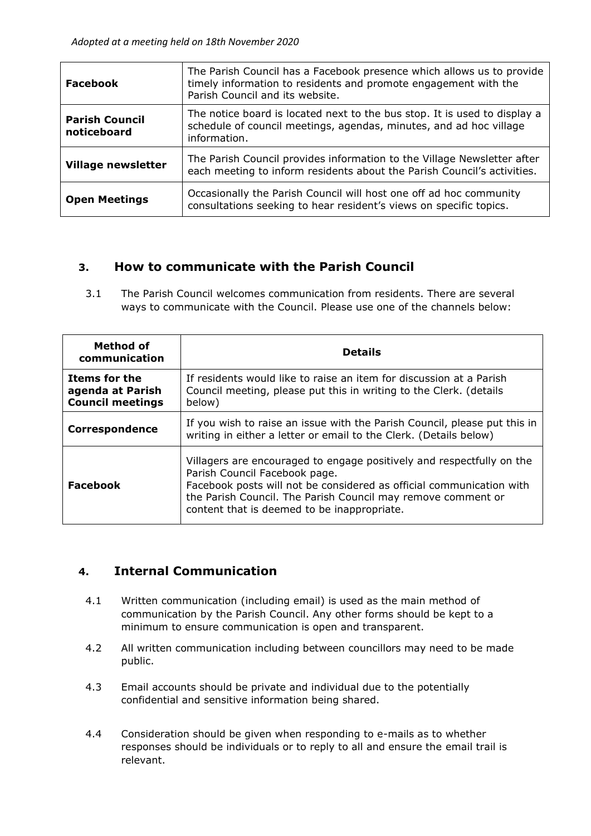| Facebook                             | The Parish Council has a Facebook presence which allows us to provide<br>timely information to residents and promote engagement with the<br>Parish Council and its website. |
|--------------------------------------|-----------------------------------------------------------------------------------------------------------------------------------------------------------------------------|
| <b>Parish Council</b><br>noticeboard | The notice board is located next to the bus stop. It is used to display a<br>schedule of council meetings, agendas, minutes, and ad hoc village<br>information.             |
| <b>Village newsletter</b>            | The Parish Council provides information to the Village Newsletter after<br>each meeting to inform residents about the Parish Council's activities.                          |
| <b>Open Meetings</b>                 | Occasionally the Parish Council will host one off ad hoc community<br>consultations seeking to hear resident's views on specific topics.                                    |

## **3. How to communicate with the Parish Council**

3.1 The Parish Council welcomes communication from residents. There are several ways to communicate with the Council. Please use one of the channels below:

| Method of<br>communication                                          | <b>Details</b>                                                                                                                                                                                                                                                                                |
|---------------------------------------------------------------------|-----------------------------------------------------------------------------------------------------------------------------------------------------------------------------------------------------------------------------------------------------------------------------------------------|
| <b>Items for the</b><br>agenda at Parish<br><b>Council meetings</b> | If residents would like to raise an item for discussion at a Parish<br>Council meeting, please put this in writing to the Clerk. (details<br>below)                                                                                                                                           |
| Correspondence                                                      | If you wish to raise an issue with the Parish Council, please put this in<br>writing in either a letter or email to the Clerk. (Details below)                                                                                                                                                |
| <b>Facebook</b>                                                     | Villagers are encouraged to engage positively and respectfully on the<br>Parish Council Facebook page.<br>Facebook posts will not be considered as official communication with<br>the Parish Council. The Parish Council may remove comment or<br>content that is deemed to be inappropriate. |

## **4. Internal Communication**

- 4.1 Written communication (including email) is used as the main method of communication by the Parish Council. Any other forms should be kept to a minimum to ensure communication is open and transparent.
- 4.2 All written communication including between councillors may need to be made public.
- 4.3 Email accounts should be private and individual due to the potentially confidential and sensitive information being shared.
- 4.4 Consideration should be given when responding to e-mails as to whether responses should be individuals or to reply to all and ensure the email trail is relevant.